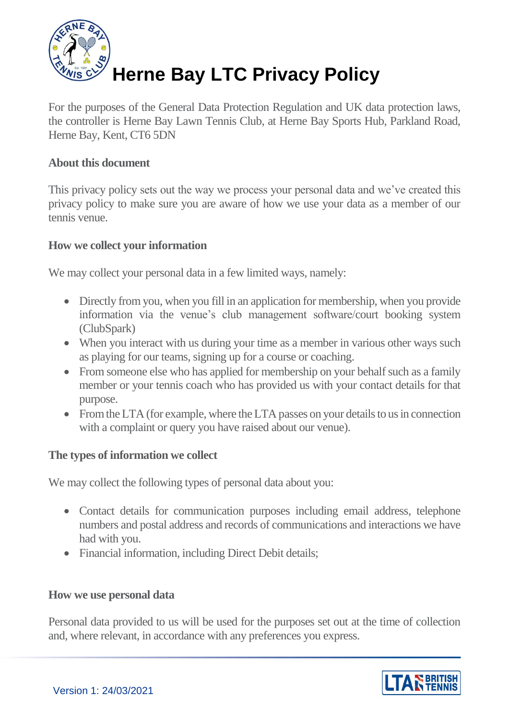

For the purposes of the General Data Protection Regulation and UK data protection laws, the controller is Herne Bay Lawn Tennis Club, at Herne Bay Sports Hub, Parkland Road, Herne Bay, Kent, CT6 5DN

### **About this document**

This privacy policy sets out the way we process your personal data and we've created this privacy policy to make sure you are aware of how we use your data as a member of our tennis venue.

### **How we collect your information**

We may collect your personal data in a few limited ways, namely:

- Directly from you, when you fill in an application for membership, when you provide information via the venue's club management software/court booking system (ClubSpark)
- When you interact with us during your time as a member in various other ways such as playing for our teams, signing up for a course or coaching.
- From someone else who has applied for membership on your behalf such as a family member or your tennis coach who has provided us with your contact details for that purpose.
- From the LTA (for example, where the LTA passes on your details to us in connection with a complaint or query you have raised about our venue).

#### **The types of information we collect**

We may collect the following types of personal data about you:

- Contact details for communication purposes including email address, telephone numbers and postal address and records of communications and interactions we have had with you.
- Financial information, including Direct Debit details;

#### **How we use personal data**

Personal data provided to us will be used for the purposes set out at the time of collection and, where relevant, in accordance with any preferences you express.

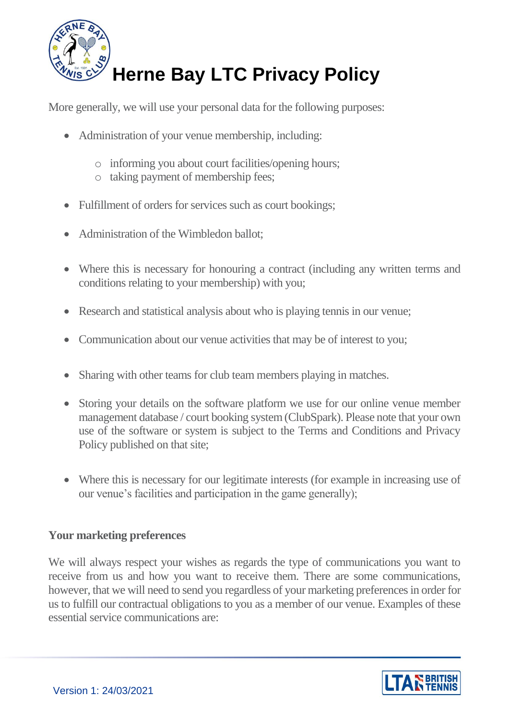

More generally, we will use your personal data for the following purposes:

- Administration of your venue membership, including:
	- o informing you about court facilities/opening hours;
	- o taking payment of membership fees;
- Fulfillment of orders for services such as court bookings;
- Administration of the Wimbledon ballot;
- Where this is necessary for honouring a contract (including any written terms and conditions relating to your membership) with you;
- Research and statistical analysis about who is playing tennis in our venue;
- Communication about our venue activities that may be of interest to you;
- Sharing with other teams for club team members playing in matches.
- Storing your details on the software platform we use for our online venue member management database / court booking system(ClubSpark). Please note that your own use of the software or system is subject to the Terms and Conditions and Privacy Policy published on that site;
- Where this is necessary for our legitimate interests (for example in increasing use of our venue's facilities and participation in the game generally);

### **Your marketing preferences**

We will always respect your wishes as regards the type of communications you want to receive from us and how you want to receive them. There are some communications, however, that we will need to send you regardless of your marketing preferences in order for us to fulfill our contractual obligations to you as a member of our venue. Examples of these essential service communications are:

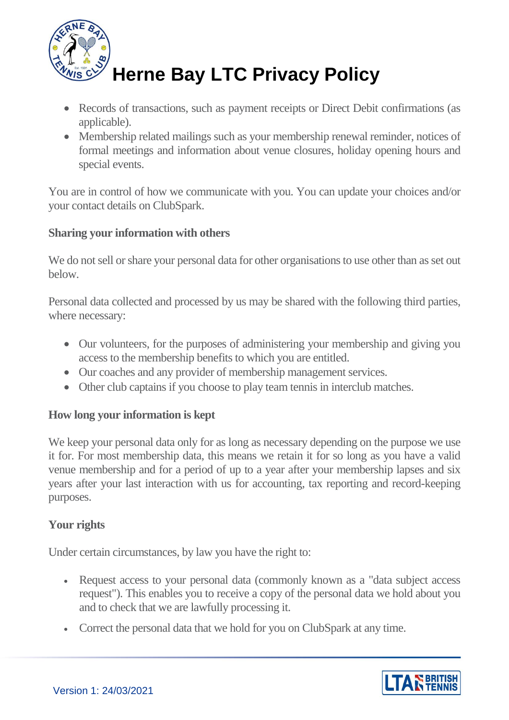

- Records of transactions, such as payment receipts or Direct Debit confirmations (as applicable).
- Membership related mailings such as your membership renewal reminder, notices of formal meetings and information about venue closures, holiday opening hours and special events.

You are in control of how we communicate with you. You can update your choices and/or your contact details on ClubSpark.

# **Sharing your information with others**

We do not sell or share your personal data for other organisations to use other than as set out below.

Personal data collected and processed by us may be shared with the following third parties, where necessary:

- Our volunteers, for the purposes of administering your membership and giving you access to the membership benefits to which you are entitled.
- Our coaches and any provider of membership management services.
- Other club captains if you choose to play team tennis in interclub matches.

# **How long your information is kept**

We keep your personal data only for as long as necessary depending on the purpose we use it for. For most membership data, this means we retain it for so long as you have a valid venue membership and for a period of up to a year after your membership lapses and six years after your last interaction with us for accounting, tax reporting and record-keeping purposes.

# **Your rights**

Under certain circumstances, by law you have the right to:

- Request access to your personal data (commonly known as a "data subject access") request"). This enables you to receive a copy of the personal data we hold about you and to check that we are lawfully processing it.
- Correct the personal data that we hold for you on ClubSpark at any time.